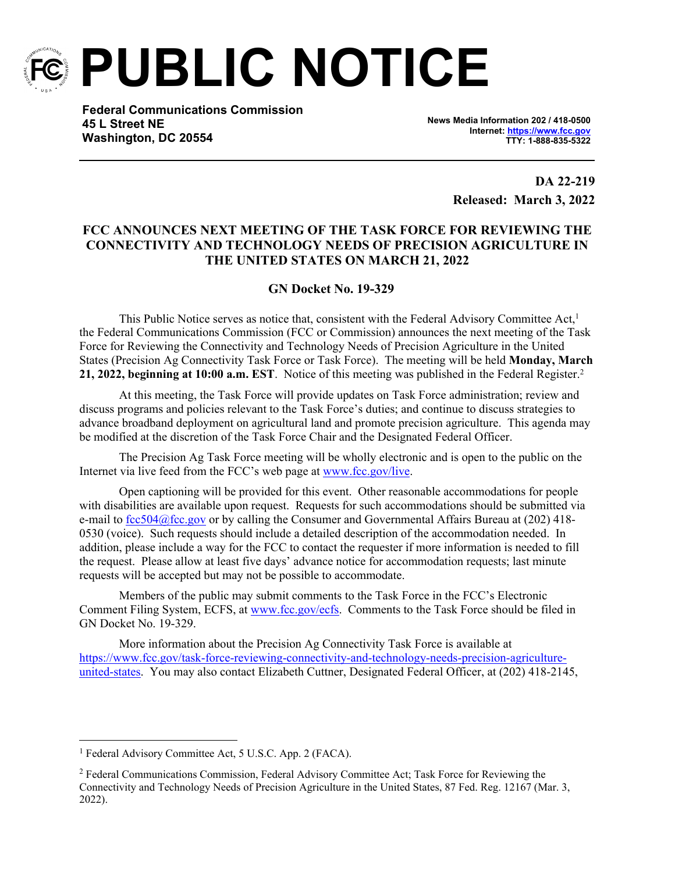

**PUBLIC NOTICE**

**Federal Communications Commission 45 L Street NE Washington, DC 20554**

**News Media Information 202 / 418-0500 Internet:<https://www.fcc.gov> TTY: 1-888-835-5322**

> **DA 22-219 Released: March 3, 2022**

## **FCC ANNOUNCES NEXT MEETING OF THE TASK FORCE FOR REVIEWING THE CONNECTIVITY AND TECHNOLOGY NEEDS OF PRECISION AGRICULTURE IN THE UNITED STATES ON MARCH 21, 2022**

## **GN Docket No. 19-329**

This Public Notice serves as notice that, consistent with the Federal Advisory Committee Act,<sup>1</sup> the Federal Communications Commission (FCC or Commission) announces the next meeting of the Task Force for Reviewing the Connectivity and Technology Needs of Precision Agriculture in the United States (Precision Ag Connectivity Task Force or Task Force). The meeting will be held **Monday, March 21, 2022, beginning at 10:00 a.m. EST**. Notice of this meeting was published in the Federal Register.<sup>2</sup>

At this meeting, the Task Force will provide updates on Task Force administration; review and discuss programs and policies relevant to the Task Force's duties; and continue to discuss strategies to advance broadband deployment on agricultural land and promote precision agriculture. This agenda may be modified at the discretion of the Task Force Chair and the Designated Federal Officer.

The Precision Ag Task Force meeting will be wholly electronic and is open to the public on the Internet via live feed from the FCC's web page at [www.fcc.gov/live.](http://www.fcc.gov/live)

Open captioning will be provided for this event. Other reasonable accommodations for people with disabilities are available upon request. Requests for such accommodations should be submitted via e-mail to [fcc504@fcc.gov](mailto:fcc504@fcc.gov) or by calling the Consumer and Governmental Affairs Bureau at (202) 418- 0530 (voice). Such requests should include a detailed description of the accommodation needed. In addition, please include a way for the FCC to contact the requester if more information is needed to fill the request. Please allow at least five days' advance notice for accommodation requests; last minute requests will be accepted but may not be possible to accommodate.

Members of the public may submit comments to the Task Force in the FCC's Electronic Comment Filing System, ECFS, at [www.fcc.gov/ecfs.](http://www.fcc.gov/ecfs) Comments to the Task Force should be filed in GN Docket No. 19-329.

More information about the Precision Ag Connectivity Task Force is available at [https://www.fcc.gov/task-force-reviewing-connectivity-and-technology-needs-precision-agriculture](https://www.fcc.gov/task-force-reviewing-connectivity-and-technology-needs-precision-agriculture-united-states)[united-states.](https://www.fcc.gov/task-force-reviewing-connectivity-and-technology-needs-precision-agriculture-united-states) You may also contact Elizabeth Cuttner, Designated Federal Officer, at (202) 418-2145,

<sup>&</sup>lt;sup>1</sup> Federal Advisory Committee Act, 5 U.S.C. App. 2 (FACA).

<sup>&</sup>lt;sup>2</sup> Federal Communications Commission, Federal Advisory Committee Act; Task Force for Reviewing the Connectivity and Technology Needs of Precision Agriculture in the United States, 87 Fed. Reg. 12167 (Mar. 3, 2022).